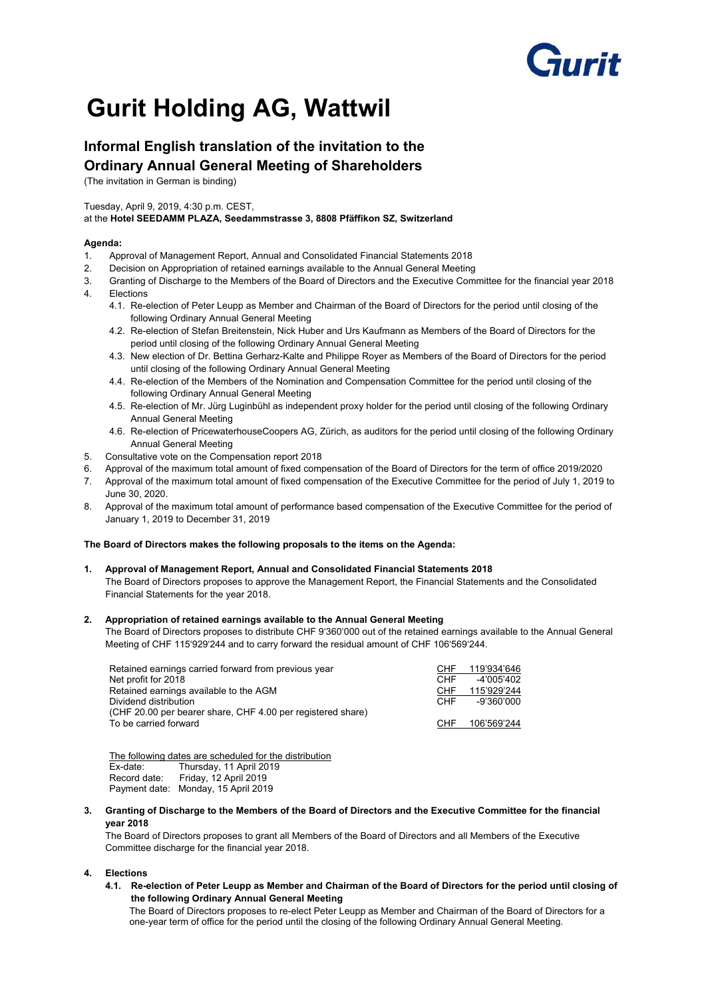# **Furit**

## **Gurit Holding AG, Wattwil**

### **Informal English translation of the invitation to the Ordinary Annual General Meeting of Shareholders**

(The invitation in German is binding)

#### Tuesday, April 9, 2019, 4:30 p.m. CEST,

#### at the **Hotel SEEDAMM PLAZA, Seedammstrasse 3, 8808 Pfäffikon SZ, Switzerland**

#### **Agenda:**

- 1. Approval of Management Report, Annual and Consolidated Financial Statements 2018
- 2. Decision on Appropriation of retained earnings available to the Annual General Meeting
- 3. Granting of Discharge to the Members of the Board of Directors and the Executive Committee for the financial year 2018 4. Elections
	- 4.1. Re-election of Peter Leupp as Member and Chairman of the Board of Directors for the period until closing of the following Ordinary Annual General Meeting
	- 4.2. Re-election of Stefan Breitenstein, Nick Huber and Urs Kaufmann as Members of the Board of Directors for the period until closing of the following Ordinary Annual General Meeting
	- 4.3. New election of Dr. Bettina Gerharz-Kalte and Philippe Royer as Members of the Board of Directors for the period until closing of the following Ordinary Annual General Meeting
	- 4.4. Re-election of the Members of the Nomination and Compensation Committee for the period until closing of the following Ordinary Annual General Meeting
	- 4.5. Re-election of Mr. Jürg Luginbühl as independent proxy holder for the period until closing of the following Ordinary Annual General Meeting
	- 4.6. Re-election of PricewaterhouseCoopers AG, Zürich, as auditors for the period until closing of the following Ordinary Annual General Meeting
- 5. Consultative vote on the Compensation report 2018
- 6. Approval of the maximum total amount of fixed compensation of the Board of Directors for the term of office 2019/2020
- 7. Approval of the maximum total amount of fixed compensation of the Executive Committee for the period of July 1, 2019 to June 30, 2020.
- 8. Approval of the maximum total amount of performance based compensation of the Executive Committee for the period of January 1, 2019 to December 31, 2019

#### **The Board of Directors makes the following proposals to the items on the Agenda:**

**1. Approval of Management Report, Annual and Consolidated Financial Statements 2018**  The Board of Directors proposes to approve the Management Report, the Financial Statements and the Consolidated Financial Statements for the year 2018.

#### **2. Appropriation of retained earnings available to the Annual General Meeting**

The Board of Directors proposes to distribute CHF 9'360'000 out of the retained earnings available to the Annual General Meeting of CHF 115'929'244 and to carry forward the residual amount of CHF 106'569'244.

| Retained earnings carried forward from previous year        | CHF        | 119'934'646 |
|-------------------------------------------------------------|------------|-------------|
| Net profit for 2018                                         | CHF        | -4'005'402  |
| Retained earnings available to the AGM                      | <b>CHF</b> | 115'929'244 |
| Dividend distribution                                       | CHF        | -9'360'000  |
| (CHF 20.00 per bearer share, CHF 4.00 per registered share) |            |             |
| To be carried forward                                       | CHF        | 106'569'244 |
|                                                             |            |             |

The following dates are scheduled for the distribution Ex-date: Thursday, 11 April 2019 Record date: Friday, 12 April 2019 Payment date: Monday, 15 April 2019

**3. Granting of Discharge to the Members of the Board of Directors and the Executive Committee for the financial year 2018** 

The Board of Directors proposes to grant all Members of the Board of Directors and all Members of the Executive Committee discharge for the financial year 2018.

#### **4. Elections**

**4.1. Re-election of Peter Leupp as Member and Chairman of the Board of Directors for the period until closing of the following Ordinary Annual General Meeting** 

The Board of Directors proposes to re-elect Peter Leupp as Member and Chairman of the Board of Directors for a one-year term of office for the period until the closing of the following Ordinary Annual General Meeting.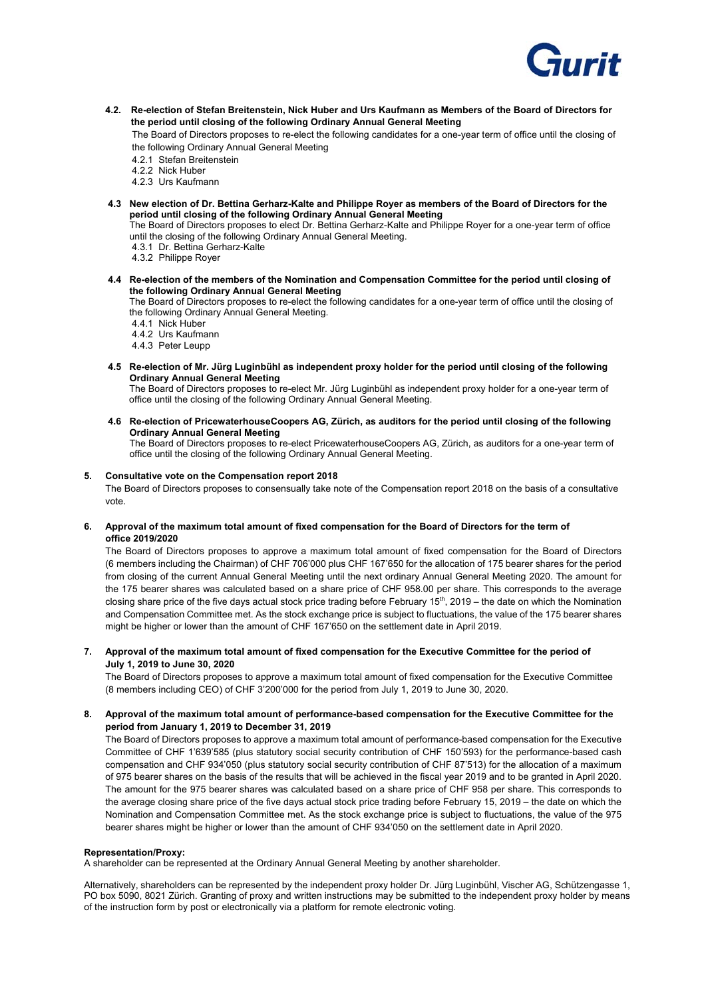

**4.2. Re-election of Stefan Breitenstein, Nick Huber and Urs Kaufmann as Members of the Board of Directors for the period until closing of the following Ordinary Annual General Meeting** 

The Board of Directors proposes to re-elect the following candidates for a one-year term of office until the closing of the following Ordinary Annual General Meeting

- 4.2.1 Stefan Breitenstein
- 4.2.2 Nick Huber
- 4.2.3 Urs Kaufmann
- **4.3 New election of Dr. Bettina Gerharz-Kalte and Philippe Royer as members of the Board of Directors for the period until closing of the following Ordinary Annual General Meeting**

The Board of Directors proposes to elect Dr. Bettina Gerharz-Kalte and Philippe Royer for a one-year term of office until the closing of the following Ordinary Annual General Meeting.

- 4.3.1 Dr. Bettina Gerharz-Kalte
- 4.3.2 Philippe Royer
- **4.4 Re-election of the members of the Nomination and Compensation Committee for the period until closing of the following Ordinary Annual General Meeting**

 The Board of Directors proposes to re-elect the following candidates for a one-year term of office until the closing of the following Ordinary Annual General Meeting.

- 4.4.1 Nick Huber
- 4.4.2 Urs Kaufmann
- 4.4.3 Peter Leupp
- **4.5 Re-election of Mr. Jürg Luginbühl as independent proxy holder for the period until closing of the following Ordinary Annual General Meeting**

 The Board of Directors proposes to re-elect Mr. Jürg Luginbühl as independent proxy holder for a one-year term of office until the closing of the following Ordinary Annual General Meeting.

**4.6 Re-election of PricewaterhouseCoopers AG, Zürich, as auditors for the period until closing of the following Ordinary Annual General Meeting**

The Board of Directors proposes to re-elect PricewaterhouseCoopers AG, Zürich, as auditors for a one-year term of office until the closing of the following Ordinary Annual General Meeting.

#### **5. Consultative vote on the Compensation report 2018**

The Board of Directors proposes to consensually take note of the Compensation report 2018 on the basis of a consultative vote.

#### **6. Approval of the maximum total amount of fixed compensation for the Board of Directors for the term of office 2019/2020**

The Board of Directors proposes to approve a maximum total amount of fixed compensation for the Board of Directors (6 members including the Chairman) of CHF 706'000 plus CHF 167'650 for the allocation of 175 bearer shares for the period from closing of the current Annual General Meeting until the next ordinary Annual General Meeting 2020. The amount for the 175 bearer shares was calculated based on a share price of CHF 958.00 per share. This corresponds to the average closing share price of the five days actual stock price trading before February 15<sup>th</sup>, 2019 – the date on which the Nomination and Compensation Committee met. As the stock exchange price is subject to fluctuations, the value of the 175 bearer shares might be higher or lower than the amount of CHF 167'650 on the settlement date in April 2019.

#### **7. Approval of the maximum total amount of fixed compensation for the Executive Committee for the period of July 1, 2019 to June 30, 2020**

The Board of Directors proposes to approve a maximum total amount of fixed compensation for the Executive Committee (8 members including CEO) of CHF 3'200'000 for the period from July 1, 2019 to June 30, 2020.

#### **8. Approval of the maximum total amount of performance-based compensation for the Executive Committee for the period from January 1, 2019 to December 31, 2019**

The Board of Directors proposes to approve a maximum total amount of performance-based compensation for the Executive Committee of CHF 1'639'585 (plus statutory social security contribution of CHF 150'593) for the performance-based cash compensation and CHF 934'050 (plus statutory social security contribution of CHF 87'513) for the allocation of a maximum of 975 bearer shares on the basis of the results that will be achieved in the fiscal year 2019 and to be granted in April 2020. The amount for the 975 bearer shares was calculated based on a share price of CHF 958 per share. This corresponds to the average closing share price of the five days actual stock price trading before February 15, 2019 – the date on which the Nomination and Compensation Committee met. As the stock exchange price is subject to fluctuations, the value of the 975 bearer shares might be higher or lower than the amount of CHF 934'050 on the settlement date in April 2020.

#### **Representation/Proxy:**

A shareholder can be represented at the Ordinary Annual General Meeting by another shareholder.

Alternatively, shareholders can be represented by the independent proxy holder Dr. Jürg Luginbühl, Vischer AG, Schützengasse 1, PO box 5090, 8021 Zürich. Granting of proxy and written instructions may be submitted to the independent proxy holder by means of the instruction form by post or electronically via a platform for remote electronic voting.